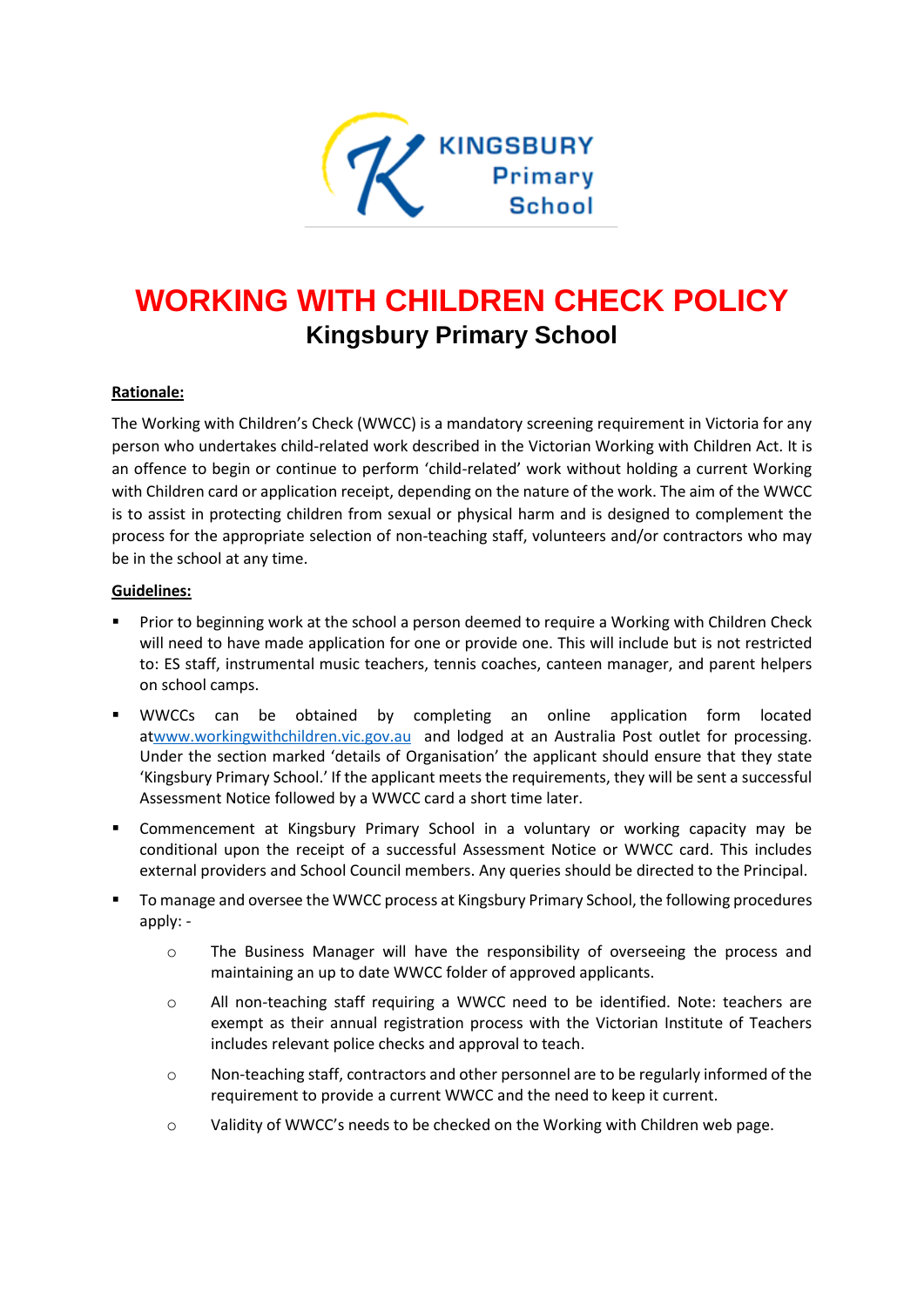

# **WORKING WITH CHILDREN CHECK POLICY Kingsbury Primary School**

## **Rationale:**

The Working with Children's Check (WWCC) is a mandatory screening requirement in Victoria for any person who undertakes child-related work described in the Victorian Working with Children Act. It is an offence to begin or continue to perform 'child-related' work without holding a current Working with Children card or application receipt, depending on the nature of the work. The aim of the WWCC is to assist in protecting children from sexual or physical harm and is designed to complement the process for the appropriate selection of non-teaching staff, volunteers and/or contractors who may be in the school at any time.

### **Guidelines:**

- Prior to beginning work at the school a person deemed to require a Working with Children Check will need to have made application for one or provide one. This will include but is not restricted to: ES staff, instrumental music teachers, tennis coaches, canteen manager, and parent helpers on school camps.
- WWCCs can be obtained by completing an online application form located a[twww.workingwithchildren.vic.gov.au](http://www.workingwithchildren.vic.gov.au/) and lodged at an Australia Post outlet for processing. Under the section marked 'details of Organisation' the applicant should ensure that they state 'Kingsbury Primary School.' If the applicant meets the requirements, they will be sent a successful Assessment Notice followed by a WWCC card a short time later.
- Commencement at Kingsbury Primary School in a voluntary or working capacity may be conditional upon the receipt of a successful Assessment Notice or WWCC card. This includes external providers and School Council members. Any queries should be directed to the Principal.
- To manage and oversee the WWCC process at Kingsbury Primary School, the following procedures apply:
	- o The Business Manager will have the responsibility of overseeing the process and maintaining an up to date WWCC folder of approved applicants.
	- o All non-teaching staff requiring a WWCC need to be identified. Note: teachers are exempt as their annual registration process with the Victorian Institute of Teachers includes relevant police checks and approval to teach.
	- o Non-teaching staff, contractors and other personnel are to be regularly informed of the requirement to provide a current WWCC and the need to keep it current.
	- o Validity of WWCC's needs to be checked on the Working with Children web page.